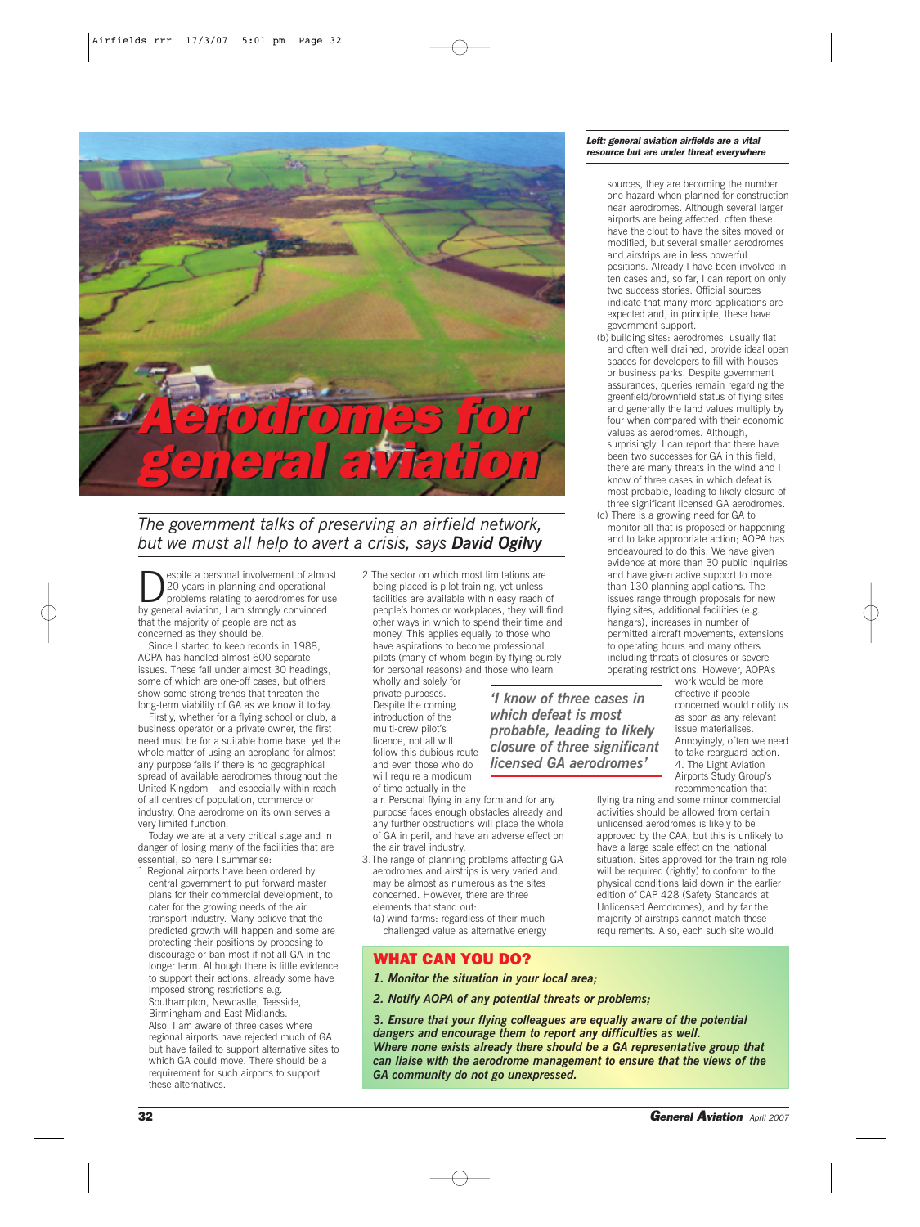

# *The government talks of preserving an airfield network, but we must all help to avert a crisis, says David Ogilvy*

**Despite a personal involvement of almost**<br>
20 years in planning and operational<br>
problems relating to aerodromes for use<br>
the capacity constitution of the construction 20 years in planning and operational by general aviation, I am strongly convinced that the majority of people are not as concerned as they should be.

Since I started to keep records in 1988, AOPA has handled almost 600 separate issues. These fall under almost 30 headings, some of which are one-off cases, but others show some strong trends that threaten the long-term viability of GA as we know it today.

Firstly, whether for a flying school or club, a business operator or a private owner, the first need must be for a suitable home base; yet the whole matter of using an aeroplane for almost any purpose fails if there is no geographical spread of available aerodromes throughout the United Kingdom – and especially within reach of all centres of population, commerce or industry. One aerodrome on its own serves a very limited function.

Today we are at a very critical stage and in danger of losing many of the facilities that are essential, so here I summarise:

1.Regional airports have been ordered by central government to put forward master plans for their commercial development, to cater for the growing needs of the air transport industry. Many believe that the predicted growth will happen and some are protecting their positions by proposing to discourage or ban most if not all GA in the longer term. Although there is little evidence to support their actions, already some have imposed strong restrictions e.g. Southampton, Newcastle, Teesside, Birmingham and East Midlands. Also, I am aware of three cases where regional airports have rejected much of GA but have failed to support alternative sites to which GA could move. There should be a requirement for such airports to support

2.The sector on which most limitations are being placed is pilot training, yet unless facilities are available within easy reach of people's homes or workplaces, they will find other ways in which to spend their time and money. This applies equally to those who have aspirations to become professional pilots (many of whom begin by flying purely for personal reasons) and those who learn

wholly and solely for private purposes. Despite the coming introduction of the multi-crew pilot's licence, not all will follow this dubious route and even those who do will require a modicum of time actually in the

air. Personal flying in any form and for any purpose faces enough obstacles already and any further obstructions will place the whole of GA in peril, and have an adverse effect on the air travel industry.

3.The range of planning problems affecting GA aerodromes and airstrips is very varied and may be almost as numerous as the sites concerned. However, there are three elements that stand out:

(a) wind farms: regardless of their muchchallenged value as alternative energy

### WHAT CAN YOU DO?

- *1. Monitor the situation in your local area;*
- *2. Notify AOPA of any potential threats or problems;*

*3. Ensure that your flying colleagues are equally aware of the potential dangers and encourage them to report any difficulties as well. Where none exists already there should be a GA representative group that can liaise with the aerodrome management to ensure that the views of the GA community do not go unexpressed.*

*'I know of three cases in which defeat is most probable, leading to likely closure of three significant licensed GA aerodromes'*

#### *Left: general aviation airfields are a vital resource but are under threat everywhere*

- sources, they are becoming the number one hazard when planned for construction near aerodromes. Although several larger airports are being affected, often these have the clout to have the sites moved or modified, but several smaller aerodromes and airstrips are in less powerful positions. Already I have been involved in ten cases and, so far, I can report on only two success stories. Official sources indicate that many more applications are expected and, in principle, these have government support.
- (b) building sites: aerodromes, usually flat and often well drained, provide ideal open spaces for developers to fill with houses or business parks. Despite government assurances, queries remain regarding the greenfield/brownfield status of flying sites and generally the land values multiply by four when compared with their economic values as aerodromes. Although, surprisingly, I can report that there have been two successes for GA in this field, there are many threats in the wind and I know of three cases in which defeat is most probable, leading to likely closure of three significant licensed GA aerodromes. (c) There is a growing need for GA to
- monitor all that is proposed or happening and to take appropriate action; AOPA has endeavoured to do this. We have given evidence at more than 30 public inquiries and have given active support to more than 130 planning applications. The issues range through proposals for new flying sites, additional facilities (e.g. hangars), increases in number of permitted aircraft movements, extensions to operating hours and many others including threats of closures or severe operating restrictions. However, AOPA's

work would be more effective if people concerned would notify us as soon as any relevant issue materialises. Annoyingly, often we need to take rearguard action. 4. The Light Aviation Airports Study Group's recommendation that

flying training and some minor commercial activities should be allowed from certain unlicensed aerodromes is likely to be approved by the CAA, but this is unlikely to have a large scale effect on the national situation. Sites approved for the training role will be required (rightly) to conform to the physical conditions laid down in the earlier edition of CAP 428 (Safety Standards at Unlicensed Aerodromes), and by far the majority of airstrips cannot match these requirements. Also, each such site would

these alternatives.